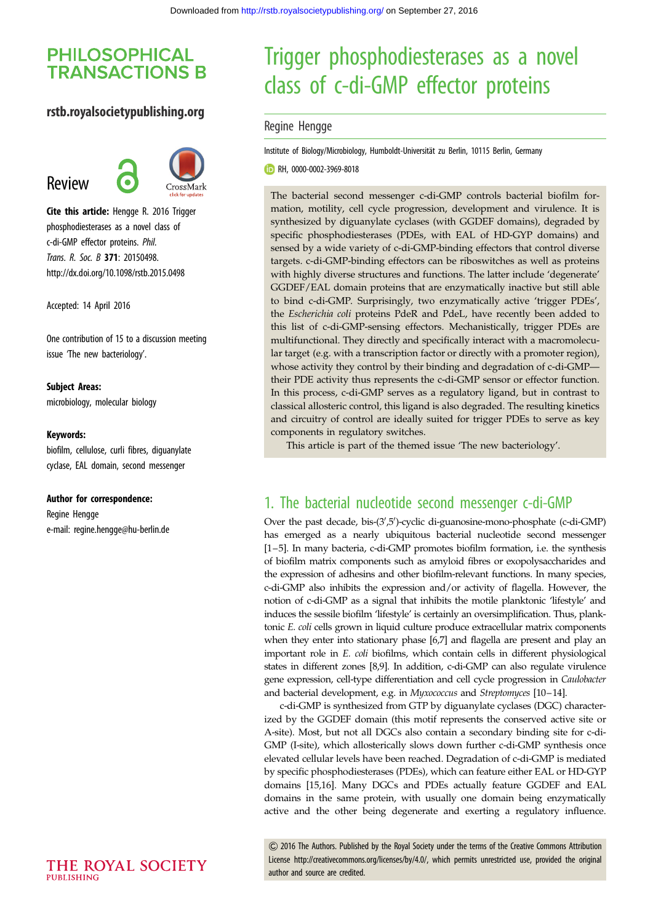## **PHILOSOPHICAL TRANSACTIONS B**

#### rstb.royalsocietypublishing.org

# Review



Cite this article: Hengge R. 2016 Trigger phosphodiesterases as a novel class of c-di-GMP effector proteins. Phil. Trans. R. Soc. B 371: 20150498. http://dx.doi.org/10.1098/rstb.2015.0498

Accepted: 14 April 2016

One contribution of 15 to a discussion meeting issue ['The new bacteriology'.](http://dx.doi.org/10.1098/rstb/371/1707)

#### Subject Areas:

microbiology, molecular biology

#### Keywords:

biofilm, cellulose, curli fibres, diguanylate cyclase, EAL domain, second messenger

#### Author for correspondence:

Regine Hengge e-mail: [regine.hengge@hu-berlin.de](mailto:regine.hengge@hu-berlin.de)

# Trigger phosphodiesterases as a novel class of c-di-GMP effector proteins

#### Regine Hengge

Institute of Biology/Microbiology, Humboldt-Universität zu Berlin, 10115 Berlin, Germany

**RH, [0000-0002-3969-8018](http://orcid.org/0000-0002-3969-8018)** 

The bacterial second messenger c-di-GMP controls bacterial biofilm formation, motility, cell cycle progression, development and virulence. It is synthesized by diguanylate cyclases (with GGDEF domains), degraded by specific phosphodiesterases (PDEs, with EAL of HD-GYP domains) and sensed by a wide variety of c-di-GMP-binding effectors that control diverse targets. c-di-GMP-binding effectors can be riboswitches as well as proteins with highly diverse structures and functions. The latter include 'degenerate' GGDEF/EAL domain proteins that are enzymatically inactive but still able to bind c-di-GMP. Surprisingly, two enzymatically active 'trigger PDEs', the Escherichia coli proteins PdeR and PdeL, have recently been added to this list of c-di-GMP-sensing effectors. Mechanistically, trigger PDEs are multifunctional. They directly and specifically interact with a macromolecular target (e.g. with a transcription factor or directly with a promoter region), whose activity they control by their binding and degradation of c-di-GMP their PDE activity thus represents the c-di-GMP sensor or effector function. In this process, c-di-GMP serves as a regulatory ligand, but in contrast to classical allosteric control, this ligand is also degraded. The resulting kinetics and circuitry of control are ideally suited for trigger PDEs to serve as key components in regulatory switches.

This article is part of the themed issue 'The new bacteriology'.

## 1. The bacterial nucleotide second messenger c-di-GMP

Over the past decade, bis-(3',5')-cyclic di-guanosine-mono-phosphate (c-di-GMP) has emerged as a nearly ubiquitous bacterial nucleotide second messenger [[1](#page-5-0)–[5](#page-5-0)]. In many bacteria, c-di-GMP promotes biofilm formation, i.e. the synthesis of biofilm matrix components such as amyloid fibres or exopolysaccharides and the expression of adhesins and other biofilm-relevant functions. In many species, c-di-GMP also inhibits the expression and/or activity of flagella. However, the notion of c-di-GMP as a signal that inhibits the motile planktonic 'lifestyle' and induces the sessile biofilm 'lifestyle' is certainly an oversimplification. Thus, planktonic E. coli cells grown in liquid culture produce extracellular matrix components when they enter into stationary phase [[6,7](#page-5-0)] and flagella are present and play an important role in E. coli biofilms, which contain cells in different physiological states in different zones [[8,9](#page-5-0)]. In addition, c-di-GMP can also regulate virulence gene expression, cell-type differentiation and cell cycle progression in Caulobacter and bacterial development, e.g. in Myxococcus and Streptomyces [\[10](#page-5-0)–[14\]](#page-5-0).

c-di-GMP is synthesized from GTP by diguanylate cyclases (DGC) characterized by the GGDEF domain (this motif represents the conserved active site or A-site). Most, but not all DGCs also contain a secondary binding site for c-di-GMP (I-site), which allosterically slows down further c-di-GMP synthesis once elevated cellular levels have been reached. Degradation of c-di-GMP is mediated by specific phosphodiesterases (PDEs), which can feature either EAL or HD-GYP domains [\[15,16\]](#page-5-0). Many DGCs and PDEs actually feature GGDEF and EAL domains in the same protein, with usually one domain being enzymatically active and the other being degenerate and exerting a regulatory influence.

& 2016 The Authors. Published by the Royal Society under the terms of the Creative Commons Attribution License [http://creativecommons.org/licenses/by/4.0/, which permits unrestricted use, provided the original](http://creativecommons.org/licenses/by/4.0/) [author and source are credited.](http://creativecommons.org/licenses/by/4.0/)

THE ROYAL SOCIETY PURLISHING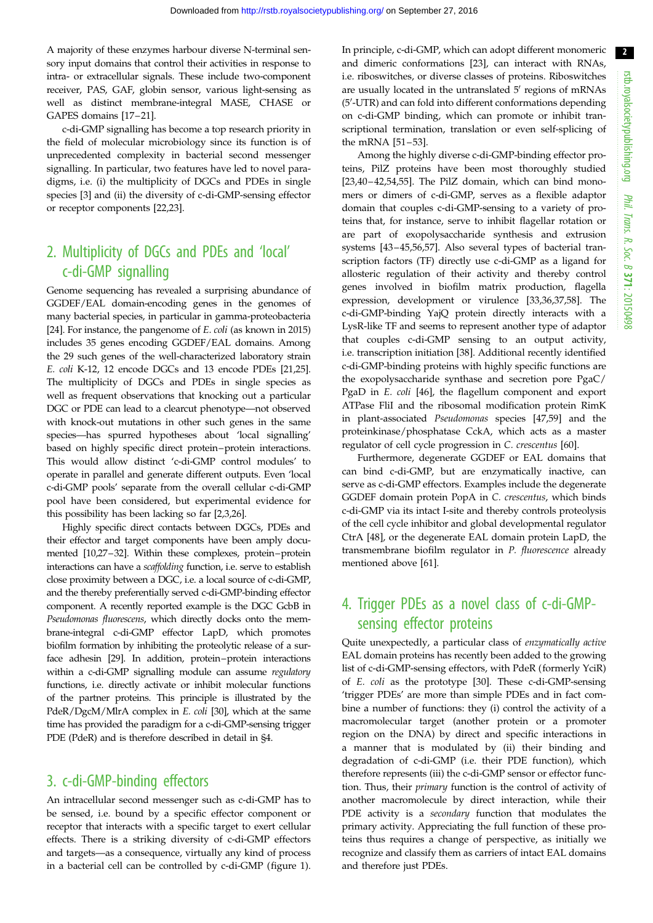2

A majority of these enzymes harbour diverse N-terminal sensory input domains that control their activities in response to intra- or extracellular signals. These include two-component receiver, PAS, GAF, globin sensor, various light-sensing as well as distinct membrane-integral MASE, CHASE or GAPES domains [[17](#page-5-0)–[21](#page-5-0)].

c-di-GMP signalling has become a top research priority in the field of molecular microbiology since its function is of unprecedented complexity in bacterial second messenger signalling. In particular, two features have led to novel paradigms, i.e. (i) the multiplicity of DGCs and PDEs in single species [[3](#page-5-0)] and (ii) the diversity of c-di-GMP-sensing effector or receptor components [[22,23](#page-5-0)].

# 2. Multiplicity of DGCs and PDEs and 'local' c-di-GMP signalling

Genome sequencing has revealed a surprising abundance of GGDEF/EAL domain-encoding genes in the genomes of many bacterial species, in particular in gamma-proteobacteria [\[24](#page-5-0)]. For instance, the pangenome of E. coli (as known in 2015) includes 35 genes encoding GGDEF/EAL domains. Among the 29 such genes of the well-characterized laboratory strain E. coli K-12, 12 encode DGCs and 13 encode PDEs [[21](#page-5-0),[25](#page-5-0)]. The multiplicity of DGCs and PDEs in single species as well as frequent observations that knocking out a particular DGC or PDE can lead to a clearcut phenotype—not observed with knock-out mutations in other such genes in the same species—has spurred hypotheses about 'local signalling' based on highly specific direct protein–protein interactions. This would allow distinct 'c-di-GMP control modules' to operate in parallel and generate different outputs. Even 'local c-di-GMP pools' separate from the overall cellular c-di-GMP pool have been considered, but experimental evidence for this possibility has been lacking so far [\[2](#page-5-0),[3,26](#page-5-0)].

Highly specific direct contacts between DGCs, PDEs and their effector and target components have been amply documented [[10,27](#page-5-0)–[32\]](#page-5-0). Within these complexes, protein–protein interactions can have a scaffolding function, i.e. serve to establish close proximity between a DGC, i.e. a local source of c-di-GMP, and the thereby preferentially served c-di-GMP-binding effector component. A recently reported example is the DGC GcbB in Pseudomonas fluorescens, which directly docks onto the membrane-integral c-di-GMP effector LapD, which promotes biofilm formation by inhibiting the proteolytic release of a surface adhesin [\[29\]](#page-5-0). In addition, protein–protein interactions within a c-di-GMP signalling module can assume regulatory functions, i.e. directly activate or inhibit molecular functions of the partner proteins. This principle is illustrated by the PdeR/DgcM/MlrA complex in E. coli [\[30\]](#page-5-0), which at the same time has provided the paradigm for a c-di-GMP-sensing trigger PDE (PdeR) and is therefore described in detail in §4.

### 3. c-di-GMP-binding effectors

An intracellular second messenger such as c-di-GMP has to be sensed, i.e. bound by a specific effector component or receptor that interacts with a specific target to exert cellular effects. There is a striking diversity of c-di-GMP effectors and targets—as a consequence, virtually any kind of process in a bacterial cell can be controlled by c-di-GMP [\(figure 1](#page-2-0)).

In principle, c-di-GMP, which can adopt different monomeric and dimeric conformations [\[23](#page-5-0)], can interact with RNAs, i.e. riboswitches, or diverse classes of proteins. Riboswitches are usually located in the untranslated 5' regions of mRNAs (5'-UTR) and can fold into different conformations depending on c-di-GMP binding, which can promote or inhibit transcriptional termination, translation or even self-splicing of the mRNA [\[51](#page-6-0)–[53](#page-6-0)].

Among the highly diverse c-di-GMP-binding effector proteins, PilZ proteins have been most thoroughly studied [[23,](#page-5-0)[40](#page-6-0) –[42,54](#page-6-0),[55\]](#page-6-0). The PilZ domain, which can bind monomers or dimers of c-di-GMP, serves as a flexible adaptor domain that couples c-di-GMP-sensing to a variety of proteins that, for instance, serve to inhibit flagellar rotation or are part of exopolysaccharide synthesis and extrusion systems [[43](#page-6-0)–[45,56,57](#page-6-0)]. Also several types of bacterial transcription factors (TF) directly use c-di-GMP as a ligand for allosteric regulation of their activity and thereby control genes involved in biofilm matrix production, flagella expression, development or virulence [\[33,36](#page-5-0),[37](#page-5-0),[58\]](#page-6-0). The c-di-GMP-binding YajQ protein directly interacts with a LysR-like TF and seems to represent another type of adaptor that couples c-di-GMP sensing to an output activity, i.e. transcription initiation [\[38](#page-5-0)]. Additional recently identified c-di-GMP-binding proteins with highly specific functions are the exopolysaccharide synthase and secretion pore PgaC/ PgaD in E. coli [\[46](#page-6-0)], the flagellum component and export ATPase FliI and the ribosomal modification protein RimK in plant-associated Pseudomonas species [\[47,59](#page-6-0)] and the proteinkinase/phosphatase CckA, which acts as a master regulator of cell cycle progression in C. crescentus [\[60](#page-6-0)].

Furthermore, degenerate GGDEF or EAL domains that can bind c-di-GMP, but are enzymatically inactive, can serve as c-di-GMP effectors. Examples include the degenerate GGDEF domain protein PopA in C. crescentus, which binds c-di-GMP via its intact I-site and thereby controls proteolysis of the cell cycle inhibitor and global developmental regulator CtrA [\[48](#page-6-0)], or the degenerate EAL domain protein LapD, the transmembrane biofilm regulator in P. fluorescence already mentioned above [\[61](#page-6-0)].

# 4. Trigger PDEs as a novel class of c-di-GMPsensing effector proteins

Quite unexpectedly, a particular class of enzymatically active EAL domain proteins has recently been added to the growing list of c-di-GMP-sensing effectors, with PdeR (formerly YciR) of E. coli as the prototype [\[30](#page-5-0)]. These c-di-GMP-sensing 'trigger PDEs' are more than simple PDEs and in fact combine a number of functions: they (i) control the activity of a macromolecular target (another protein or a promoter region on the DNA) by direct and specific interactions in a manner that is modulated by (ii) their binding and degradation of c-di-GMP (i.e. their PDE function), which therefore represents (iii) the c-di-GMP sensor or effector function. Thus, their primary function is the control of activity of another macromolecule by direct interaction, while their PDE activity is a secondary function that modulates the primary activity. Appreciating the full function of these proteins thus requires a change of perspective, as initially we recognize and classify them as carriers of intact EAL domains and therefore just PDEs.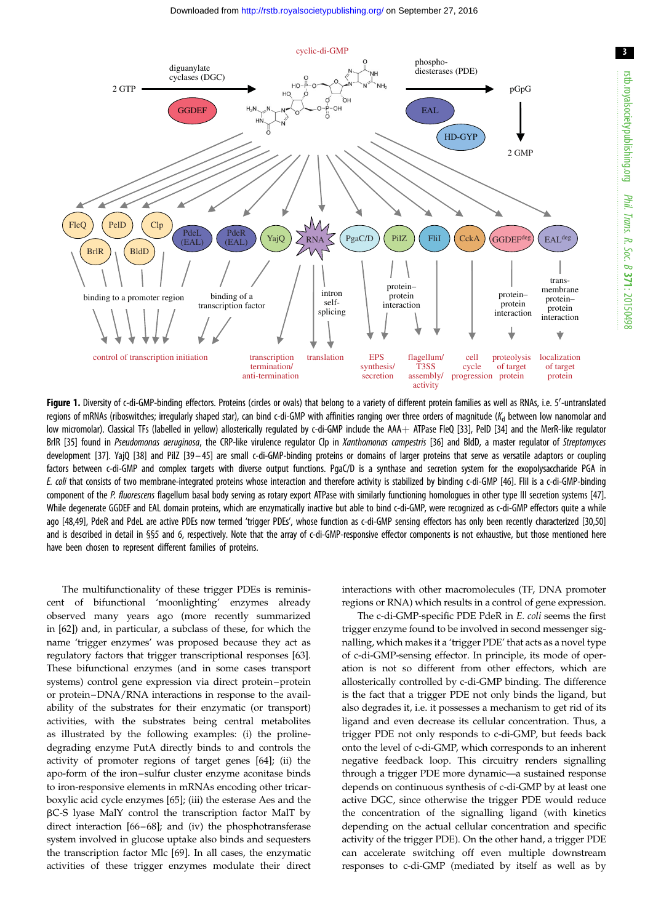<span id="page-2-0"></span>

Figure 1. Diversity of c-di-GMP-binding effectors. Proteins (circles or ovals) that belong to a variety of different protein families as well as RNAs, i.e. 5'-untranslated regions of mRNAs (riboswitches; irregularly shaped star), can bind c-di-GMP with affinities ranging over three orders of magnitude ( $K_d$  between low nanomolar and low micromolar). Classical TFs (labelled in yellow) allosterically regulated by c-di-GMP include the AAA + ATPase FleQ [\[33\]](#page-5-0), PelD [\[34\]](#page-5-0) and the MerR-like regulator BrlR [[35](#page-5-0)] found in Pseudomonas aeruginosa, the CRP-like virulence regulator Clp in Xanthomonas campestris [[36](#page-5-0)] and BldD, a master regulator of Streptomyces development [\[37\]](#page-5-0). YajQ [[38](#page-5-0)] and PilZ [[39](#page-6-0) – [45\]](#page-6-0) are small c-di-GMP-binding proteins or domains of larger proteins that serve as versatile adaptors or coupling factors between c-di-GMP and complex targets with diverse output functions. PgaC/D is a synthase and secretion system for the exopolysaccharide PGA in E. coli that consists of two membrane-integrated proteins whose interaction and therefore activity is stabilized by binding c-di-GMP [[46](#page-6-0)]. Flil is a c-di-GMP-binding component of the P. fluorescens flagellum basal body serving as rotary export ATPase with similarly functioning homologues in other type III secretion systems [[47](#page-6-0)]. While degenerate GGDEF and EAL domain proteins, which are enzymatically inactive but able to bind c-di-GMP, were recognized as c-di-GMP effectors quite a while ago [\[48,49\]](#page-6-0), PdeR and PdeL are active PDEs now termed 'trigger PDEs', whose function as c-di-GMP sensing effectors has only been recently characterized [\[30,](#page-5-0)[50](#page-6-0)] and is described in detail in §§5 and 6, respectively. Note that the array of c-di-GMP-responsive effector components is not exhaustive, but those mentioned here have been chosen to represent different families of proteins.

The multifunctionality of these trigger PDEs is reminiscent of bifunctional 'moonlighting' enzymes already observed many years ago (more recently summarized in [\[62](#page-6-0)]) and, in particular, a subclass of these, for which the name 'trigger enzymes' was proposed because they act as regulatory factors that trigger transcriptional responses [\[63](#page-6-0)]. These bifunctional enzymes (and in some cases transport systems) control gene expression via direct protein –protein or protein –DNA/RNA interactions in response to the availability of the substrates for their enzymatic (or transport) activities, with the substrates being central metabolites as illustrated by the following examples: (i) the prolinedegrading enzyme PutA directly binds to and controls the activity of promoter regions of target genes [\[64](#page-6-0)]; (ii) the apo-form of the iron –sulfur cluster enzyme aconitase binds to iron-responsive elements in mRNAs encoding other tricarboxylic acid cycle enzymes [[65\]](#page-6-0); (iii) the esterase Aes and the  $\beta$ C-S lyase MalY control the transcription factor MalT by direct interaction [\[66](#page-6-0) –[68\]](#page-6-0); and (iv) the phosphotransferase system involved in glucose uptake also binds and sequesters the transcription factor Mlc [\[69](#page-6-0)]. In all cases, the enzymatic activities of these trigger enzymes modulate their direct interactions with other macromolecules (TF, DNA promoter regions or RNA) which results in a control of gene expression.

The c-di-GMP-specific PDE PdeR in E. coli seems the first trigger enzyme found to be involved in second messenger signalling, which makes it a 'trigger PDE' that acts as a novel type of c-di-GMP-sensing effector. In principle, its mode of operation is not so different from other effectors, which are allosterically controlled by c-di-GMP binding. The difference is the fact that a trigger PDE not only binds the ligand, but also degrades it, i.e. it possesses a mechanism to get rid of its ligand and even decrease its cellular concentration. Thus, a trigger PDE not only responds to c-di-GMP, but feeds back onto the level of c-di-GMP, which corresponds to an inherent negative feedback loop. This circuitry renders signalling through a trigger PDE more dynamic—a sustained response depends on continuous synthesis of c-di-GMP by at least one active DGC, since otherwise the trigger PDE would reduce the concentration of the signalling ligand (with kinetics depending on the actual cellular concentration and specific activity of the trigger PDE). On the other hand, a trigger PDE can accelerate switching off even multiple downstream responses to c-di-GMP (mediated by itself as well as by

3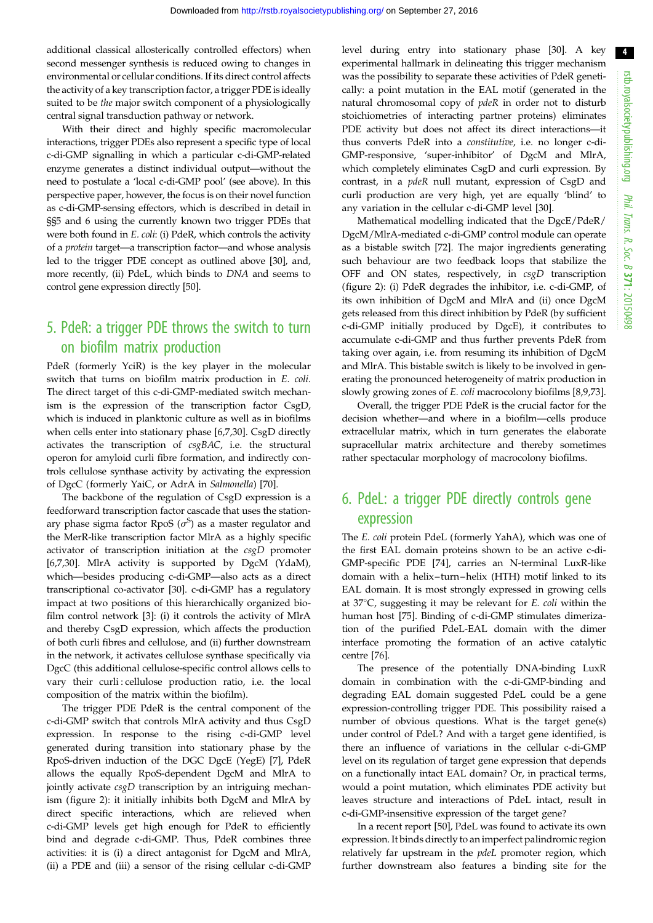4

additional classical allosterically controlled effectors) when second messenger synthesis is reduced owing to changes in environmental or cellular conditions. If its direct control affects the activity of a key transcription factor, a trigger PDE is ideally suited to be the major switch component of a physiologically central signal transduction pathway or network.

With their direct and highly specific macromolecular interactions, trigger PDEs also represent a specific type of local c-di-GMP signalling in which a particular c-di-GMP-related enzyme generates a distinct individual output—without the need to postulate a 'local c-di-GMP pool' (see above). In this perspective paper, however, the focus is on their novel function as c-di-GMP-sensing effectors, which is described in detail in §§5 and 6 using the currently known two trigger PDEs that were both found in E. coli: (i) PdeR, which controls the activity of a protein target—a transcription factor—and whose analysis led to the trigger PDE concept as outlined above [[30](#page-5-0)], and, more recently, (ii) PdeL, which binds to DNA and seems to control gene expression directly [\[50](#page-6-0)].

### 5. PdeR: a trigger PDE throws the switch to turn on biofilm matrix production

PdeR (formerly YciR) is the key player in the molecular switch that turns on biofilm matrix production in E. coli. The direct target of this c-di-GMP-mediated switch mechanism is the expression of the transcription factor CsgD, which is induced in planktonic culture as well as in biofilms when cells enter into stationary phase [\[6,7,30\]](#page-5-0). CsgD directly activates the transcription of csgBAC, i.e. the structural operon for amyloid curli fibre formation, and indirectly controls cellulose synthase activity by activating the expression of DgcC (formerly YaiC, or AdrA in Salmonella) [[70\]](#page-6-0).

The backbone of the regulation of CsgD expression is a feedforward transcription factor cascade that uses the stationary phase sigma factor RpoS ( $\sigma^{\rm S}$ ) as a master regulator and the MerR-like transcription factor MlrA as a highly specific activator of transcription initiation at the csgD promoter [\[6,7,30\]](#page-5-0). MlrA activity is supported by DgcM (YdaM), which—besides producing c-di-GMP—also acts as a direct transcriptional co-activator [[30\]](#page-5-0). c-di-GMP has a regulatory impact at two positions of this hierarchically organized biofilm control network [[3](#page-5-0)]: (i) it controls the activity of MlrA and thereby CsgD expression, which affects the production of both curli fibres and cellulose, and (ii) further downstream in the network, it activates cellulose synthase specifically via DgcC (this additional cellulose-specific control allows cells to vary their curli : cellulose production ratio, i.e. the local composition of the matrix within the biofilm).

The trigger PDE PdeR is the central component of the c-di-GMP switch that controls MlrA activity and thus CsgD expression. In response to the rising c-di-GMP level generated during transition into stationary phase by the RpoS-driven induction of the DGC DgcE (YegE) [[7](#page-5-0)], PdeR allows the equally RpoS-dependent DgcM and MlrA to jointly activate csgD transcription by an intriguing mechanism [\(figure 2](#page-4-0)): it initially inhibits both DgcM and MlrA by direct specific interactions, which are relieved when c-di-GMP levels get high enough for PdeR to efficiently bind and degrade c-di-GMP. Thus, PdeR combines three activities: it is (i) a direct antagonist for DgcM and MlrA, (ii) a PDE and (iii) a sensor of the rising cellular c-di-GMP

level during entry into stationary phase [[30\]](#page-5-0). A key experimental hallmark in delineating this trigger mechanism was the possibility to separate these activities of PdeR genetically: a point mutation in the EAL motif (generated in the natural chromosomal copy of pdeR in order not to disturb stoichiometries of interacting partner proteins) eliminates PDE activity but does not affect its direct interactions—it thus converts PdeR into a constitutive, i.e. no longer c-di-GMP-responsive, 'super-inhibitor' of DgcM and MlrA, which completely eliminates CsgD and curli expression. By contrast, in a pdeR null mutant, expression of CsgD and curli production are very high, yet are equally 'blind' to any variation in the cellular c-di-GMP level [\[30](#page-5-0)].

Mathematical modelling indicated that the DgcE/PdeR/ DgcM/MlrA-mediated c-di-GMP control module can operate as a bistable switch [\[72](#page-6-0)]. The major ingredients generating such behaviour are two feedback loops that stabilize the OFF and ON states, respectively, in csgD transcription ([figure 2\)](#page-4-0): (i) PdeR degrades the inhibitor, i.e. c-di-GMP, of its own inhibition of DgcM and MlrA and (ii) once DgcM gets released from this direct inhibition by PdeR (by sufficient c-di-GMP initially produced by DgcE), it contributes to accumulate c-di-GMP and thus further prevents PdeR from taking over again, i.e. from resuming its inhibition of DgcM and MlrA. This bistable switch is likely to be involved in generating the pronounced heterogeneity of matrix production in slowly growing zones of E. coli macrocolony biofilms [\[8,9](#page-5-0),[73\]](#page-6-0).

Overall, the trigger PDE PdeR is the crucial factor for the decision whether—and where in a biofilm—cells produce extracellular matrix, which in turn generates the elaborate supracellular matrix architecture and thereby sometimes rather spectacular morphology of macrocolony biofilms.

## 6. PdeL: a trigger PDE directly controls gene expression

The E. coli protein PdeL (formerly YahA), which was one of the first EAL domain proteins shown to be an active c-di-GMP-specific PDE [\[74](#page-6-0)], carries an N-terminal LuxR-like domain with a helix– turn –helix (HTH) motif linked to its EAL domain. It is most strongly expressed in growing cells at  $37^{\circ}$ C, suggesting it may be relevant for *E. coli* within the human host [\[75](#page-6-0)]. Binding of c-di-GMP stimulates dimerization of the purified PdeL-EAL domain with the dimer interface promoting the formation of an active catalytic centre [\[76](#page-6-0)].

The presence of the potentially DNA-binding LuxR domain in combination with the c-di-GMP-binding and degrading EAL domain suggested PdeL could be a gene expression-controlling trigger PDE. This possibility raised a number of obvious questions. What is the target gene(s) under control of PdeL? And with a target gene identified, is there an influence of variations in the cellular c-di-GMP level on its regulation of target gene expression that depends on a functionally intact EAL domain? Or, in practical terms, would a point mutation, which eliminates PDE activity but leaves structure and interactions of PdeL intact, result in c-di-GMP-insensitive expression of the target gene?

In a recent report [[50\]](#page-6-0), PdeL was found to activate its own expression. It binds directly to an imperfect palindromic region relatively far upstream in the *pdeL* promoter region, which further downstream also features a binding site for the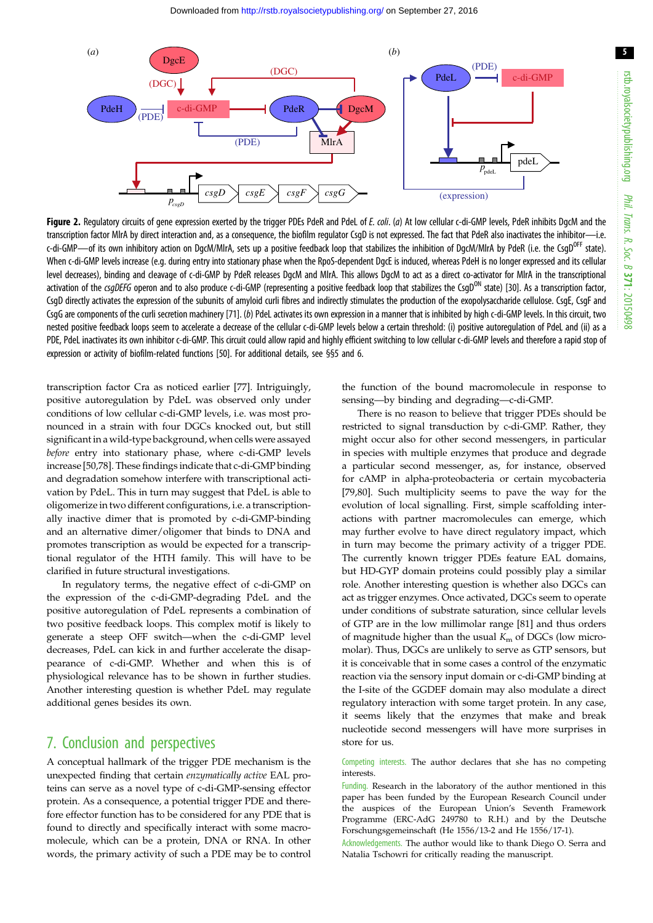<span id="page-4-0"></span>

Figure 2. Regulatory circuits of gene expression exerted by the trigger PDEs PdeR and PdeL of E. coli. (a) At low cellular c-di-GMP levels, PdeR inhibits DgcM and the transcription factor MlrA by direct interaction and, as a consequence, the biofilm regulator CsgD is not expressed. The fact that PdeR also inactivates the inhibitor—i.e. c-di-GMP—of its own inhibitory action on DgcM/MlrA, sets up a positive feedback loop that stabilizes the inhibition of DqcM/MlrA by PdeR (i.e. the CsqD<sup>OFF</sup> state). When c-di-GMP levels increase (e.g. during entry into stationary phase when the RpoS-dependent DgcE is induced, whereas PdeH is no longer expressed and its cellular level decreases), binding and cleavage of c-di-GMP by PdeR releases DgcM and MlrA. This allows DgcM to act as a direct co-activator for MlrA in the transcriptional activation of the csqDEFG operon and to also produce c-di-GMP (representing a positive feedback loop that stabilizes the CsqD<sup>ON</sup> state) [[30](#page-5-0)]. As a transcription factor, CsgD directly activates the expression of the subunits of amyloid curli fibres and indirectly stimulates the production of the exopolysaccharide cellulose. CsgE, CsgF and CsgG are components of the curli secretion machinery [[71](#page-6-0)]. (b) PdeL activates its own expression in a manner that is inhibited by high c-di-GMP levels. In this circuit, two nested positive feedback loops seem to accelerate a decrease of the cellular c-di-GMP levels below a certain threshold: (i) positive autoregulation of PdeL and (ii) as a PDE, PdeL inactivates its own inhibitor c-di-GMP. This circuit could allow rapid and highly efficient switching to low cellular c-di-GMP levels and therefore a rapid stop of expression or activity of biofilm-related functions [[50](#page-6-0)]. For additional details, see §§5 and 6.

transcription factor Cra as noticed earlier [\[77](#page-6-0)]. Intriguingly, positive autoregulation by PdeL was observed only under conditions of low cellular c-di-GMP levels, i.e. was most pronounced in a strain with four DGCs knocked out, but still significant in a wild-type background, when cells were assayed before entry into stationary phase, where c-di-GMP levels increase [[50](#page-6-0),[78\]](#page-7-0). These findings indicate that c-di-GMP binding and degradation somehow interfere with transcriptional activation by PdeL. This in turn may suggest that PdeL is able to oligomerize in two different configurations, i.e. a transcriptionally inactive dimer that is promoted by c-di-GMP-binding and an alternative dimer/oligomer that binds to DNA and promotes transcription as would be expected for a transcriptional regulator of the HTH family. This will have to be clarified in future structural investigations.

In regulatory terms, the negative effect of c-di-GMP on the expression of the c-di-GMP-degrading PdeL and the positive autoregulation of PdeL represents a combination of two positive feedback loops. This complex motif is likely to generate a steep OFF switch—when the c-di-GMP level decreases, PdeL can kick in and further accelerate the disappearance of c-di-GMP. Whether and when this is of physiological relevance has to be shown in further studies. Another interesting question is whether PdeL may regulate additional genes besides its own.

#### 7. Conclusion and perspectives

A conceptual hallmark of the trigger PDE mechanism is the unexpected finding that certain enzymatically active EAL proteins can serve as a novel type of c-di-GMP-sensing effector protein. As a consequence, a potential trigger PDE and therefore effector function has to be considered for any PDE that is found to directly and specifically interact with some macromolecule, which can be a protein, DNA or RNA. In other words, the primary activity of such a PDE may be to control

the function of the bound macromolecule in response to sensing—by binding and degrading—c-di-GMP.

There is no reason to believe that trigger PDEs should be restricted to signal transduction by c-di-GMP. Rather, they might occur also for other second messengers, in particular in species with multiple enzymes that produce and degrade a particular second messenger, as, for instance, observed for cAMP in alpha-proteobacteria or certain mycobacteria [[79,80\]](#page-7-0). Such multiplicity seems to pave the way for the evolution of local signalling. First, simple scaffolding interactions with partner macromolecules can emerge, which may further evolve to have direct regulatory impact, which in turn may become the primary activity of a trigger PDE. The currently known trigger PDEs feature EAL domains, but HD-GYP domain proteins could possibly play a similar role. Another interesting question is whether also DGCs can act as trigger enzymes. Once activated, DGCs seem to operate under conditions of substrate saturation, since cellular levels of GTP are in the low millimolar range [\[81](#page-7-0)] and thus orders of magnitude higher than the usual  $K<sub>m</sub>$  of DGCs (low micromolar). Thus, DGCs are unlikely to serve as GTP sensors, but it is conceivable that in some cases a control of the enzymatic reaction via the sensory input domain or c-di-GMP binding at the I-site of the GGDEF domain may also modulate a direct regulatory interaction with some target protein. In any case, it seems likely that the enzymes that make and break nucleotide second messengers will have more surprises in store for us.

Competing interests. The author declares that she has no competing interests.

Funding. Research in the laboratory of the author mentioned in this paper has been funded by the European Research Council under the auspices of the European Union's Seventh Framework Programme (ERC-AdG 249780 to R.H.) and by the Deutsche Forschungsgemeinschaft (He 1556/13-2 and He 1556/17-1).

Acknowledgements. The author would like to thank Diego O. Serra and Natalia Tschowri for critically reading the manuscript.

5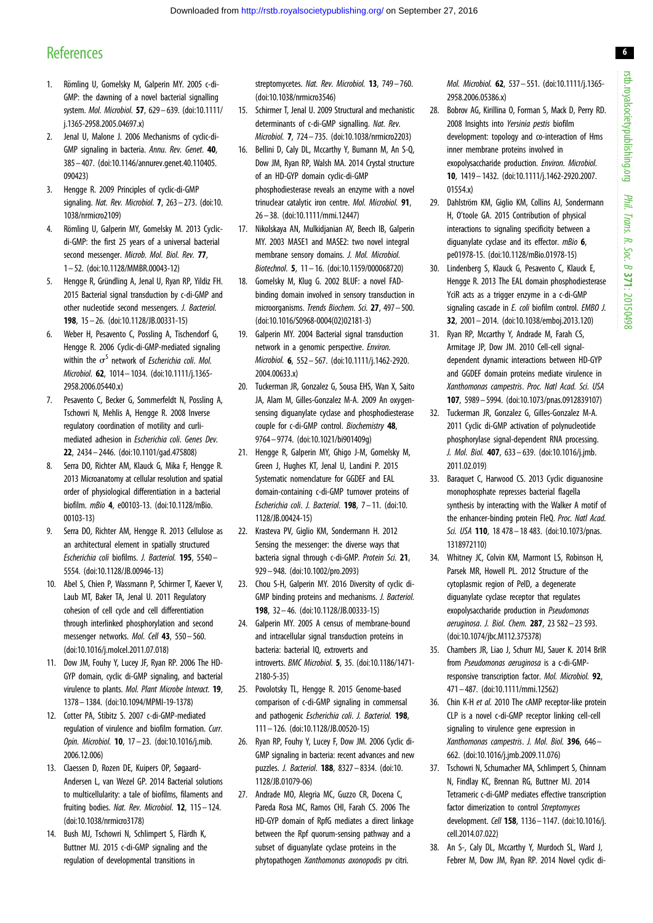### <span id="page-5-0"></span>**References**

- 1. Römling U, Gomelsky M, Galperin MY, 2005 c-di-GMP: the dawning of a novel bacterial signalling system. Mol. Microbiol. 57, 629– 639. ([doi:10.1111/](http://dx.doi.org/10.1111/j.1365-2958.2005.04697.x) [j.1365-2958.2005.04697.x](http://dx.doi.org/10.1111/j.1365-2958.2005.04697.x))
- 2. Jenal U, Malone J. 2006 Mechanisms of cyclic-di-GMP signaling in bacteria. Annu. Rev. Genet. 40, 385– 407. ([doi:10.1146/annurev.genet.40.110405.](http://dx.doi.org/10.1146/annurev.genet.40.110405.090423) [090423](http://dx.doi.org/10.1146/annurev.genet.40.110405.090423))
- 3. Hengge R. 2009 Principles of cyclic-di-GMP signaling. Nat. Rev. Microbiol. 7, 263 – 273. ([doi:10.](http://dx.doi.org/10.1038/nrmicro2109) [1038/nrmicro2109](http://dx.doi.org/10.1038/nrmicro2109))
- 4. Römling U, Galperin MY, Gomelsky M. 2013 Cyclicdi-GMP: the first 25 years of a universal bacterial second messenger. Microb. Mol. Biol. Rev. 77. 1– 52. [\(doi:10.1128/MMBR.00043-12\)](http://dx.doi.org/10.1128/MMBR.00043-12)
- 5. Hengge R, Gründling A, Jenal U, Ryan RP, Yildiz FH. 2015 Bacterial signal transduction by c-di-GMP and other nucleotide second messengers. J. Bacteriol. 198, 15 – 26. ([doi:10.1128/JB.00331-15](http://dx.doi.org/10.1128/JB.00331-15))
- 6. Weber H, Pesavento C, Possling A, Tischendorf G, Hengge R. 2006 Cyclic-di-GMP-mediated signaling within the  $\sigma^S$  network of *Escherichia coli. Mol.* Microbiol. 62, 1014– 1034. ([doi:10.1111/j.1365-](http://dx.doi.org/10.1111/j.1365-2958.2006.05440.x) [2958.2006.05440.x](http://dx.doi.org/10.1111/j.1365-2958.2006.05440.x))
- 7. Pesavento C, Becker G, Sommerfeldt N, Possling A, Tschowri N, Mehlis A, Hengge R. 2008 Inverse regulatory coordination of motility and curlimediated adhesion in Escherichia coli. Genes Dev. 22, 2434– 2446. [\(doi:10.1101/gad.475808](http://dx.doi.org/10.1101/gad.475808))
- 8. Serra DO, Richter AM, Klauck G, Mika F, Hengge R. 2013 Microanatomy at cellular resolution and spatial order of physiological differentiation in a bacterial biofilm. mBio 4, e00103-13. [\(doi:10.1128/mBio.](http://dx.doi.org/10.1128/mBio.00103-13) [00103-13](http://dx.doi.org/10.1128/mBio.00103-13))
- 9. Serra DO, Richter AM, Hengge R. 2013 Cellulose as an architectural element in spatially structured Escherichia coli biofilms. J. Bacteriol. 195, 5540 – 5554. ([doi:10.1128/JB.00946-13\)](http://dx.doi.org/10.1128/JB.00946-13)
- 10. Abel S, Chien P, Wassmann P, Schirmer T, Kaever V, Laub MT, Baker TA, Jenal U. 2011 Regulatory cohesion of cell cycle and cell differentiation through interlinked phosphorylation and second messenger networks. Mol. Cell 43, 550-560. [\(doi:10.1016/j.molcel.2011.07.018\)](http://dx.doi.org/10.1016/j.molcel.2011.07.018)
- 11. Dow JM, Fouhy Y, Lucey JF, Ryan RP. 2006 The HD-GYP domain, cyclic di-GMP signaling, and bacterial virulence to plants. Mol. Plant Microbe Interact. 19, 1378 – 1384. [\(doi:10.1094/MPMI-19-1378\)](http://dx.doi.org/10.1094/MPMI-19-1378)
- 12. Cotter PA, Stibitz S. 2007 c-di-GMP-mediated regulation of virulence and biofilm formation. Curr. Opin. Microbiol. 10, 17 – 23. [\(doi:10.1016/j.mib.](http://dx.doi.org/10.1016/j.mib.2006.12.006) [2006.12.006\)](http://dx.doi.org/10.1016/j.mib.2006.12.006)
- 13. Claessen D, Rozen DE, Kuipers OP, Søgaard-Andersen L, van Wezel GP. 2014 Bacterial solutions to multicellularity: a tale of biofilms, filaments and fruiting bodies. Nat. Rev. Microbiol. 12, 115 – 124. [\(doi:10.1038/nrmicro3178](http://dx.doi.org/10.1038/nrmicro3178))
- 14. Bush MJ, Tschowri N, Schlimpert S, Flärdh K, Buttner MJ. 2015 c-di-GMP signaling and the regulation of developmental transitions in

streptomycetes. Nat. Rev. Microbiol. 13, 749– 760. [\(doi:10.1038/nrmicro3546](http://dx.doi.org/10.1038/nrmicro3546))

- 15. Schirmer T, Jenal U. 2009 Structural and mechanistic determinants of c-di-GMP signalling. Nat. Rev. Microbiol. 7, 724– 735. [\(doi:10.1038/nrmicro2203\)](http://dx.doi.org/10.1038/nrmicro2203)
- 16. Bellini D, Caly DL, Mccarthy Y, Bumann M, An S-Q, Dow JM, Ryan RP, Walsh MA. 2014 Crystal structure of an HD-GYP domain cyclic-di-GMP phosphodiesterase reveals an enzyme with a novel trinuclear catalytic iron centre. Mol. Microbiol. 91, 26 – 38. ([doi:10.1111/mmi.12447](http://dx.doi.org/10.1111/mmi.12447))
- 17. Nikolskaya AN, Mulkidjanian AY, Beech IB, Galperin MY. 2003 MASE1 and MASE2: two novel integral membrane sensory domains. J. Mol. Microbiol. Biotechnol. 5, 11 – 16. ([doi:10.1159/000068720\)](http://dx.doi.org/10.1159/000068720)
- 18. Gomelsky M, Klug G. 2002 BLUF: a novel FADbinding domain involved in sensory transduction in microorganisms. Trends Biochem. Sci. 27, 497– 500. [\(doi:10.1016/S0968-0004\(02\)02181-3](http://dx.doi.org/10.1016/S0968-0004(02)02181-3))
- 19. Galperin MY. 2004 Bacterial signal transduction network in a genomic perspective. Environ. Microbiol. 6, 552– 567. [\(doi:10.1111/j.1462-2920.](http://dx.doi.org/10.1111/j.1462-2920.2004.00633.x) [2004.00633.x\)](http://dx.doi.org/10.1111/j.1462-2920.2004.00633.x)
- 20. Tuckerman JR, Gonzalez G, Sousa EHS, Wan X, Saito JA, Alam M, Gilles-Gonzalez M-A. 2009 An oxygensensing diguanylate cyclase and phosphodiesterase couple for c-di-GMP control. Biochemistry 48, 9764– 9774. [\(doi:10.1021/bi901409g\)](http://dx.doi.org/10.1021/bi901409g)
- 21. Hengge R, Galperin MY, Ghigo J-M, Gomelsky M, Green J, Hughes KT, Jenal U, Landini P. 2015 Systematic nomenclature for GGDEF and EAL domain-containing c-di-GMP turnover proteins of Escherichia coli. J. Bacteriol.  $198$ ,  $7 - 11$ . ([doi:10.](http://dx.doi.org/10.1128/JB.00424-15) [1128/JB.00424-15\)](http://dx.doi.org/10.1128/JB.00424-15)
- 22. Krasteva PV, Giglio KM, Sondermann H. 2012 Sensing the messenger: the diverse ways that bacteria signal through c-di-GMP. Protein Sci. 21, 929 – 948. [\(doi:10.1002/pro.2093](http://dx.doi.org/10.1002/pro.2093))
- 23. Chou S-H, Galperin MY. 2016 Diversity of cyclic di-GMP binding proteins and mechanisms. J. Bacteriol. 198, 32 – 46. ([doi:10.1128/JB.00333-15\)](http://dx.doi.org/10.1128/JB.00333-15)
- 24. Galperin MY. 2005 A census of membrane-bound and intracellular signal transduction proteins in bacteria: bacterial IQ, extroverts and introverts. BMC Microbiol. 5, 35. [\(doi:10.1186/1471-](http://dx.doi.org/10.1186/1471-2180-5-35) [2180-5-35](http://dx.doi.org/10.1186/1471-2180-5-35))
- 25. Povolotsky TL, Hengge R. 2015 Genome-based comparison of c-di-GMP signaling in commensal and pathogenic Escherichia coli. J. Bacteriol. 198, 111 – 126. [\(doi:10.1128/JB.00520-15\)](http://dx.doi.org/10.1128/JB.00520-15)
- 26. Ryan RP, Fouhy Y, Lucey F, Dow JM. 2006 Cyclic di-GMP signaling in bacteria: recent advances and new puzzles. J. Bacteriol. 188, 8327– 8334. ([doi:10.](http://dx.doi.org/10.1128/JB.01079-06) [1128/JB.01079-06\)](http://dx.doi.org/10.1128/JB.01079-06)
- 27. Andrade MO, Alegria MC, Guzzo CR, Docena C, Pareda Rosa MC, Ramos CHI, Farah CS. 2006 The HD-GYP domain of RpfG mediates a direct linkage between the Rpf quorum-sensing pathway and a subset of diguanylate cyclase proteins in the phytopathogen Xanthomonas axonopodis pv citri.

Mol. Microbiol. 62, 537– 551. [\(doi:10.1111/j.1365-](http://dx.doi.org/10.1111/j.1365-2958.2006.05386.x) [2958.2006.05386.x\)](http://dx.doi.org/10.1111/j.1365-2958.2006.05386.x)

- 28. Bobrov AG, Kirillina O, Forman S, Mack D, Perry RD. 2008 Insights into Yersinia pestis biofilm development: topology and co-interaction of Hms inner membrane proteins involved in exopolysaccharide production. Environ. Microbiol. 10, 1419– 1432. [\(doi:10.1111/j.1462-2920.2007.](http://dx.doi.org/10.1111/j.1462-2920.2007.01554.x) [01554.x](http://dx.doi.org/10.1111/j.1462-2920.2007.01554.x))
- 29. Dahlström KM, Giglio KM, Collins AJ, Sondermann H, O'toole GA. 2015 Contribution of physical interactions to signaling specificity between a diguanylate cyclase and its effector. mBio 6, pe01978-15. [\(doi:10.1128/mBio.01978-15\)](http://dx.doi.org/10.1128/mBio.01978-15)
- 30. Lindenberg S, Klauck G, Pesavento C, Klauck E, Hengge R. 2013 The EAL domain phosphodiesterase YciR acts as a trigger enzyme in a c-di-GMP signaling cascade in E. coli biofilm control. EMBO J. 32, 2001– 2014. [\(doi:10.1038/emboj.2013.120](http://dx.doi.org/10.1038/emboj.2013.120))
- 31. Ryan RP, Mccarthy Y, Andrade M, Farah CS, Armitage JP, Dow JM. 2010 Cell-cell signaldependent dynamic interactions between HD-GYP and GGDEF domain proteins mediate virulence in Xanthomonas campestris. Proc. Natl Acad. Sci. USA 107, 5989– 5994. ([doi:10.1073/pnas.0912839107\)](http://dx.doi.org/10.1073/pnas.0912839107)
- 32. Tuckerman JR, Gonzalez G, Gilles-Gonzalez M-A. 2011 Cyclic di-GMP activation of polynucleotide phosphorylase signal-dependent RNA processing. J. Mol. Biol. 407, 633– 639. ([doi:10.1016/j.jmb.](http://dx.doi.org/10.1016/j.jmb.2011.02.019) [2011.02.019](http://dx.doi.org/10.1016/j.jmb.2011.02.019))
- 33. Baraquet C, Harwood CS. 2013 Cyclic diguanosine monophosphate represses bacterial flagella synthesis by interacting with the Walker A motif of the enhancer-binding protein FleQ. Proc. Natl Acad. Sci. USA 110, 18 478 - 18 483. ([doi:10.1073/pnas.](http://dx.doi.org/10.1073/pnas.1318972110) [1318972110](http://dx.doi.org/10.1073/pnas.1318972110))
- 34. Whitney JC, Colvin KM, Marmont LS, Robinson H, Parsek MR, Howell PL. 2012 Structure of the cytoplasmic region of PelD, a degenerate diguanylate cyclase receptor that regulates exopolysaccharide production in Pseudomonas aeruginosa. J. Biol. Chem. 287, 23 582 – 23 593. ([doi:10.1074/jbc.M112.375378](http://dx.doi.org/10.1074/jbc.M112.375378))
- 35. Chambers JR, Liao J, Schurr MJ, Sauer K. 2014 BrlR from Pseudomonas aeruginosa is a c-di-GMPresponsive transcription factor. Mol. Microbiol. 92, 471– 487. [\(doi:10.1111/mmi.12562\)](http://dx.doi.org/10.1111/mmi.12562)
- 36. Chin K-H et al. 2010 The cAMP receptor-like protein CLP is a novel c-di-GMP receptor linking cell-cell signaling to virulence gene expression in Xanthomonas campestris. J. Mol. Biol. 396, 646– 662. ([doi:10.1016/j.jmb.2009.11.076\)](http://dx.doi.org/10.1016/j.jmb.2009.11.076)
- 37. Tschowri N, Schumacher MA, Schlimpert S, Chinnam N, Findlay KC, Brennan RG, Buttner MJ. 2014 Tetrameric c-di-GMP mediates effective transcription factor dimerization to control Streptomyces development. Cell 158, 1136– 1147. ([doi:10.1016/j.](http://dx.doi.org/10.1016/j.cell.2014.07.022) [cell.2014.07.022](http://dx.doi.org/10.1016/j.cell.2014.07.022))
- 38. An S-, Caly DL, Mccarthy Y, Murdoch SL, Ward J, Febrer M, Dow JM, Ryan RP. 2014 Novel cyclic di-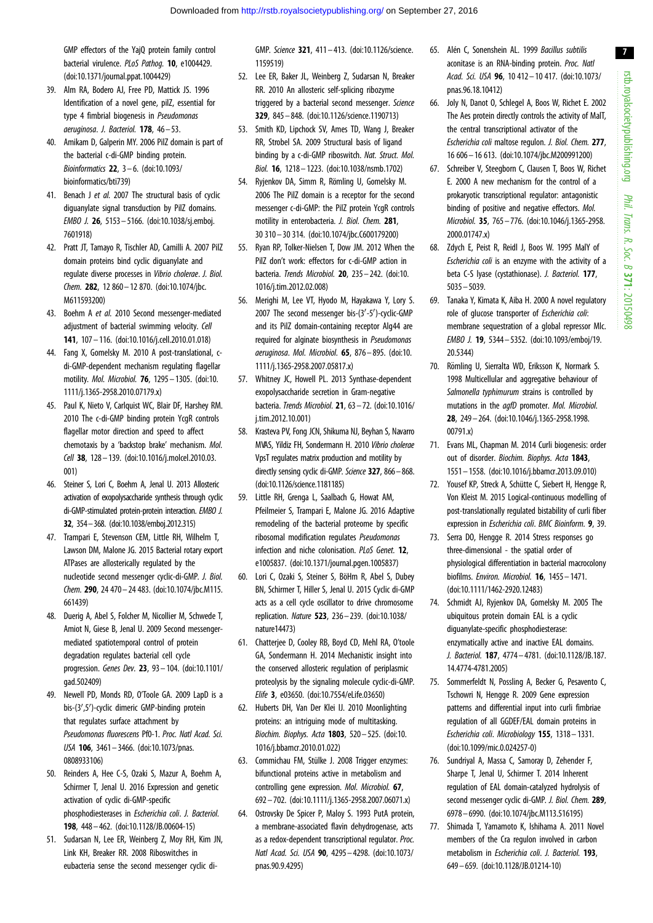<span id="page-6-0"></span>GMP effectors of the YajQ protein family control bacterial virulence. PLoS Pathog. 10, e1004429. [\(doi:10.1371/journal.ppat.1004429](http://dx.doi.org/10.1371/journal.ppat.1004429))

- 39. Alm RA, Bodero AJ, Free PD, Mattick JS. 1996 Identification of a novel gene, pilZ, essential for type 4 fimbrial biogenesis in Pseudomonas aeruginosa. J. Bacteriol.  $178$ ,  $46 - 53$ .
- 40. Amikam D, Galperin MY. 2006 PilZ domain is part of the bacterial c-di-GMP binding protein. Bioinformatics 22, 3 – 6. ([doi:10.1093/](http://dx.doi.org/10.1093/bioinformatics/bti739) [bioinformatics/bti739\)](http://dx.doi.org/10.1093/bioinformatics/bti739)
- 41. Benach J et al. 2007 The structural basis of cyclic diguanylate signal transduction by PilZ domains. EMBO J. 26, 5153– 5166. [\(doi:10.1038/sj.emboj.](http://dx.doi.org/10.1038/sj.emboj.7601918) [7601918\)](http://dx.doi.org/10.1038/sj.emboj.7601918)
- 42. Pratt JT, Tamayo R, Tischler AD, Camilli A. 2007 PilZ domain proteins bind cyclic diguanylate and regulate diverse processes in Vibrio cholerae. J. Biol. Chem. 282, 12 860– 12 870. [\(doi:10.1074/jbc.](http://dx.doi.org/10.1074/jbc.M611593200) [M611593200\)](http://dx.doi.org/10.1074/jbc.M611593200)
- 43. Boehm A et al. 2010 Second messenger-mediated adjustment of bacterial swimming velocity. Cell 141, 107– 116. [\(doi:10.1016/j.cell.2010.01.018](http://dx.doi.org/10.1016/j.cell.2010.01.018))
- 44. Fang X, Gomelsky M. 2010 A post-translational, cdi-GMP-dependent mechanism regulating flagellar motility. Mol. Microbiol. 76, 1295– 1305. [\(doi:10.](http://dx.doi.org/10.1111/j.1365-2958.2010.07179.x) [1111/j.1365-2958.2010.07179.x](http://dx.doi.org/10.1111/j.1365-2958.2010.07179.x))
- 45. Paul K, Nieto V, Carlquist WC, Blair DF, Harshey RM. 2010 The c-di-GMP binding protein YcgR controls flagellar motor direction and speed to affect chemotaxis by a 'backstop brake' mechanism. Mol. Cell 38, 128– 139. ([doi:10.1016/j.molcel.2010.03.](http://dx.doi.org/10.1016/j.molcel.2010.03.001) [001](http://dx.doi.org/10.1016/j.molcel.2010.03.001))
- 46. Steiner S, Lori C, Boehm A, Jenal U. 2013 Allosteric activation of exopolysaccharide synthesis through cyclic di-GMP-stimulated protein-protein interaction. EMBO J. 32, 354–368. ([doi:10.1038/emboj.2012.315](http://dx.doi.org/10.1038/emboj.2012.315))
- 47. Trampari E, Stevenson CEM, Little RH, Wilhelm T, Lawson DM, Malone JG. 2015 Bacterial rotary export ATPases are allosterically regulated by the nucleotide second messenger cyclic-di-GMP. J. Biol. Chem. 290, 24 470 – 24 483. ([doi:10.1074/jbc.M115.](http://dx.doi.org/10.1074/jbc.M115.661439) [661439](http://dx.doi.org/10.1074/jbc.M115.661439))
- 48. Duerig A, Abel S, Folcher M, Nicollier M, Schwede T, Amiot N, Giese B, Jenal U. 2009 Second messengermediated spatiotemporal control of protein degradation regulates bacterial cell cycle progression. Genes Dev. 23, 93– 104. ([doi:10.1101/](http://dx.doi.org/10.1101/gad.502409) [gad.502409](http://dx.doi.org/10.1101/gad.502409))
- 49. Newell PD, Monds RD, O'Toole GA. 2009 LapD is a bis-(3',5')-cyclic dimeric GMP-binding protein that regulates surface attachment by Pseudomonas fluorescens Pf0-1. Proc. Natl Acad. Sci. USA 106, 3461 – 3466. ([doi:10.1073/pnas.](http://dx.doi.org/10.1073/pnas.0808933106) [0808933106\)](http://dx.doi.org/10.1073/pnas.0808933106)
- 50. Reinders A, Hee C-S, Ozaki S, Mazur A, Boehm A, Schirmer T, Jenal U. 2016 Expression and genetic activation of cyclic di-GMP-specific phosphodiesterases in Escherichia coli. J. Bacteriol. 198, 448– 462. [\(doi:10.1128/JB.00604-15\)](http://dx.doi.org/10.1128/JB.00604-15)
- 51. Sudarsan N, Lee ER, Weinberg Z, Moy RH, Kim JN, Link KH, Breaker RR. 2008 Riboswitches in eubacteria sense the second messenger cyclic di-

GMP. Science 321, 411 – 413. [\(doi:10.1126/science.](http://dx.doi.org/10.1126/science.1159519) [1159519\)](http://dx.doi.org/10.1126/science.1159519)

- 52. Lee ER, Baker JL, Weinberg Z, Sudarsan N, Breaker RR. 2010 An allosteric self-splicing ribozyme triggered by a bacterial second messenger. Science 329, 845 – 848. [\(doi:10.1126/science.1190713](http://dx.doi.org/10.1126/science.1190713))
- 53. Smith KD, Lipchock SV, Ames TD, Wang J, Breaker RR, Strobel SA. 2009 Structural basis of ligand binding by a c-di-GMP riboswitch. Nat. Struct. Mol. Biol. 16, 1218 – 1223. [\(doi:10.1038/nsmb.1702](http://dx.doi.org/10.1038/nsmb.1702))
- 54. Ryjenkov DA, Simm R, Römling U, Gomelsky M. 2006 The PilZ domain is a receptor for the second messenger c-di-GMP: the PilZ protein YcgR controls motility in enterobacteria. J. Biol. Chem. 281, 30 310– 30 314. [\(doi:10.1074/jbc.C600179200](http://dx.doi.org/10.1074/jbc.C600179200))
- 55. Ryan RP, Tolker-Nielsen T, Dow JM. 2012 When the PilZ don't work: effectors for c-di-GMP action in bacteria. Trends Microbiol. 20, 235-242. [\(doi:10.](http://dx.doi.org/10.1016/j.tim.2012.02.008) [1016/j.tim.2012.02.008\)](http://dx.doi.org/10.1016/j.tim.2012.02.008)
- 56. Merighi M, Lee VT, Hyodo M, Hayakawa Y, Lory S. 2007 The second messenger bis-(3'-5')-cyclic-GMP and its PilZ domain-containing receptor Alg44 are required for alginate biosynthesis in Pseudomonas aeruginosa. Mol. Microbiol. 65, 876– 895. ([doi:10.](http://dx.doi.org/10.1111/j.1365-2958.2007.05817.x) [1111/j.1365-2958.2007.05817.x](http://dx.doi.org/10.1111/j.1365-2958.2007.05817.x))
- 57. Whitney JC, Howell PL. 2013 Synthase-dependent exopolysaccharide secretion in Gram-negative bacteria. Trends Microbiol. 21, 63 – 72. [\(doi:10.1016/](http://dx.doi.org/10.1016/j.tim.2012.10.001) [j.tim.2012.10.001](http://dx.doi.org/10.1016/j.tim.2012.10.001))
- 58. Krasteva PV, Fong JCN, Shikuma NJ, Beyhan S, Navarro MVAS, Yildiz FH, Sondermann H. 2010 Vibrio cholerae VpsT regulates matrix production and motility by directly sensing cyclic di-GMP. Science 327, 866-868. [\(doi:10.1126/science.1181185\)](http://dx.doi.org/10.1126/science.1181185)
- 59. Little RH, Grenga L, Saalbach G, Howat AM, Pfeilmeier S, Trampari E, Malone JG. 2016 Adaptive remodeling of the bacterial proteome by specific ribosomal modification regulates Pseudomonas infection and niche colonisation. PLoS Genet. 12, e1005837. ([doi:10.1371/journal.pgen.1005837](http://dx.doi.org/10.1371/journal.pgen.1005837))
- 60. Lori C, Ozaki S, Steiner S, BöHm R, Abel S, Dubey BN, Schirmer T, Hiller S, Jenal U. 2015 Cyclic di-GMP acts as a cell cycle oscillator to drive chromosome replication. Nature 523, 236– 239. [\(doi:10.1038/](http://dx.doi.org/10.1038/nature14473) [nature14473](http://dx.doi.org/10.1038/nature14473))
- 61. Chatterjee D, Cooley RB, Boyd CD, Mehl RA, O'toole GA, Sondermann H. 2014 Mechanistic insight into the conserved allosteric regulation of periplasmic proteolysis by the signaling molecule cyclic-di-GMP. Elife 3, e03650. ([doi:10.7554/eLife.03650\)](http://dx.doi.org/10.7554/eLife.03650)
- 62. Huberts DH, Van Der Klei IJ. 2010 Moonlighting proteins: an intriguing mode of multitasking. Biochim. Biophys. Acta 1803, 520– 525. [\(doi:10.](http://dx.doi.org/10.1016/j.bbamcr.2010.01.022) [1016/j.bbamcr.2010.01.022](http://dx.doi.org/10.1016/j.bbamcr.2010.01.022))
- 63. Commichau FM, Stülke J. 2008 Trigger enzymes: bifunctional proteins active in metabolism and controlling gene expression. Mol. Microbiol. 67. 692 – 702. [\(doi:10.1111/j.1365-2958.2007.06071.x](http://dx.doi.org/10.1111/j.1365-2958.2007.06071.x))
- 64. Ostrovsky De Spicer P, Maloy S. 1993 PutA protein, a membrane-associated flavin dehydrogenase, acts as a redox-dependent transcriptional regulator. Proc. Natl Acad. Sci. USA 90, 4295 – 4298. [\(doi:10.1073/](http://dx.doi.org/10.1073/pnas.90.9.4295) [pnas.90.9.4295](http://dx.doi.org/10.1073/pnas.90.9.4295))
- 65. Alén C, Sonenshein AL. 1999 Bacillus subtilis aconitase is an RNA-binding protein. Proc. Natl Acad. Sci. USA 96, 10 412– 10 417. ([doi:10.1073/](http://dx.doi.org/10.1073/pnas.96.18.10412) [pnas.96.18.10412\)](http://dx.doi.org/10.1073/pnas.96.18.10412)
- 66. Joly N, Danot O, Schlegel A, Boos W, Richet E. 2002 The Aes protein directly controls the activity of MalT, the central transcriptional activator of the Escherichia coli maltose regulon. J. Biol. Chem. 277, 16 606 – 16 613. [\(doi:10.1074/jbc.M200991200](http://dx.doi.org/10.1074/jbc.M200991200))
- 67. Schreiber V, Steegborn C, Clausen T, Boos W, Richet E. 2000 A new mechanism for the control of a prokaryotic transcriptional regulator: antagonistic binding of positive and negative effectors. Mol. Microbiol. 35, 765– 776. ([doi:10.1046/j.1365-2958.](http://dx.doi.org/10.1046/j.1365-2958.2000.01747.x) [2000.01747.x](http://dx.doi.org/10.1046/j.1365-2958.2000.01747.x))
- 68. Zdych E, Peist R, Reidl J, Boos W. 1995 MalY of Escherichia coli is an enzyme with the activity of a beta C-S lyase (cystathionase). J. Bacteriol. 177, 5035– 5039.
- 69. Tanaka Y, Kimata K, Aiba H. 2000 A novel regulatory role of glucose transporter of Escherichia coli: membrane sequestration of a global repressor Mlc. EMBO J. 19, 5344– 5352. ([doi:10.1093/emboj/19.](http://dx.doi.org/10.1093/emboj/19.20.5344) [20.5344\)](http://dx.doi.org/10.1093/emboj/19.20.5344)
- 70. Römling U, Sierralta WD, Eriksson K, Normark S. 1998 Multicellular and aggregative behaviour of Salmonella typhimurum strains is controlled by mutations in the agfD promoter. Mol. Microbiol. 28, 249 – 264. [\(doi:10.1046/j.1365-2958.1998.](http://dx.doi.org/10.1046/j.1365-2958.1998.00791.x) [00791.x](http://dx.doi.org/10.1046/j.1365-2958.1998.00791.x))
- 71. Evans ML, Chapman M. 2014 Curli biogenesis: order out of disorder. Biochim. Biophys. Acta 1843, 1551– 1558. ([doi:10.1016/j.bbamcr.2013.09.010\)](http://dx.doi.org/10.1016/j.bbamcr.2013.09.010)
- 72. Yousef KP, Streck A, Schütte C, Siebert H, Hengge R, Von Kleist M. 2015 Logical-continuous modelling of post-translationally regulated bistability of curli fiber expression in Escherichia coli. BMC Bioinform. 9, 39.
- 73. Serra DO, Hengge R. 2014 Stress responses go three-dimensional - the spatial order of physiological differentiation in bacterial macrocolony biofilms. Environ. Microbiol. 16, 1455 – 1471. ([doi:10.1111/1462-2920.12483](http://dx.doi.org/10.1111/1462-2920.12483))
- 74. Schmidt AJ, Ryjenkov DA, Gomelsky M. 2005 The ubiquitous protein domain EAL is a cyclic diguanylate-specific phosphodiesterase: enzymatically active and inactive EAL domains. J. Bacteriol. 187, 4774 – 4781. ([doi:10.1128/JB.187.](http://dx.doi.org/10.1128/JB.187.14.4774-4781.2005) [14.4774-4781.2005\)](http://dx.doi.org/10.1128/JB.187.14.4774-4781.2005)
- 75. Sommerfeldt N, Possling A, Becker G, Pesavento C, Tschowri N, Hengge R. 2009 Gene expression patterns and differential input into curli fimbriae regulation of all GGDEF/EAL domain proteins in Escherichia coli. Microbiology 155, 1318 – 1331. ([doi:10.1099/mic.0.024257-0](http://dx.doi.org/10.1099/mic.0.024257-0))
- 76. Sundriyal A, Massa C, Samoray D, Zehender F, Sharpe T, Jenal U, Schirmer T. 2014 Inherent regulation of EAL domain-catalyzed hydrolysis of second messenger cyclic di-GMP. J. Biol. Chem. 289. 6978– 6990. ([doi:10.1074/jbc.M113.516195](http://dx.doi.org/10.1074/jbc.M113.516195))
- 77. Shimada T, Yamamoto K, Ishihama A. 2011 Novel members of the Cra regulon involved in carbon metabolism in Escherichia coli. J. Bacteriol. 193, 649– 659. [\(doi:10.1128/JB.01214-10](http://dx.doi.org/10.1128/JB.01214-10))